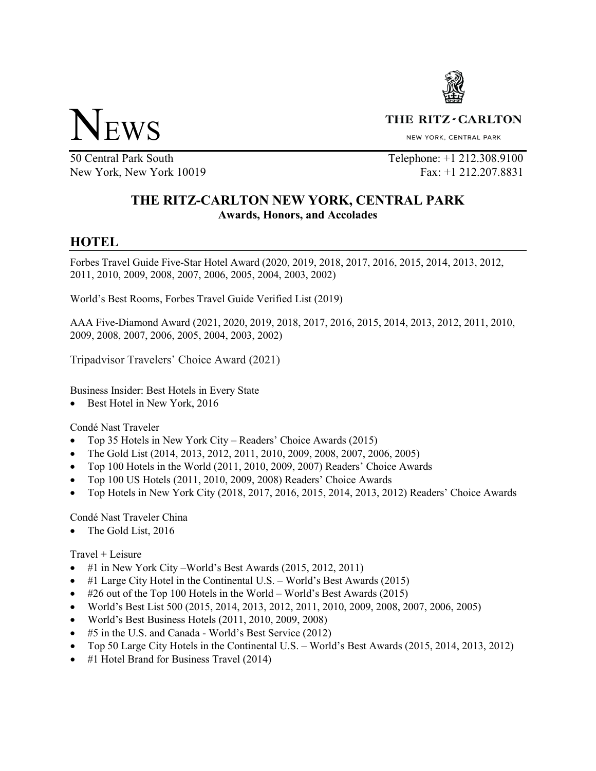

THE RITZ - CARLTON

NEW YORK, CENTRAL PARK

50 Central Park South New York, New York 10019

Telephone: +1 212.308.9100 Fax: +1 212.207.8831

## **THE RITZ-CARLTON NEW YORK, CENTRAL PARK Awards, Honors, and Accolades**

# **HOTEL**

Forbes Travel Guide Five-Star Hotel Award (2020, 2019, 2018, 2017, 2016, 2015, 2014, 2013, 2012, 2011, 2010, 2009, 2008, 2007, 2006, 2005, 2004, 2003, 2002)

World's Best Rooms, Forbes Travel Guide Verified List (2019)

AAA Five-Diamond Award (2021, 2020, 2019, 2018, 2017, 2016, 2015, 2014, 2013, 2012, 2011, 2010, 2009, 2008, 2007, 2006, 2005, 2004, 2003, 2002)

Tripadvisor Travelers' Choice Award (2021)

Business Insider: Best Hotels in Every State

• Best Hotel in New York, 2016

Condé Nast Traveler

- Top 35 Hotels in New York City Readers' Choice Awards (2015)
- The Gold List (2014, 2013, 2012, 2011, 2010, 2009, 2008, 2007, 2006, 2005)
- Top 100 Hotels in the World (2011, 2010, 2009, 2007) Readers' Choice Awards
- Top 100 US Hotels (2011, 2010, 2009, 2008) Readers' Choice Awards
- Top Hotels in New York City (2018, 2017, 2016, 2015, 2014, 2013, 2012) Readers' Choice Awards

Condé Nast Traveler China

• The Gold List, 2016

Travel + Leisure

- #1 in New York City World's Best Awards (2015, 2012, 2011)
- #1 Large City Hotel in the Continental U.S. World's Best Awards (2015)
- #26 out of the Top 100 Hotels in the World World's Best Awards (2015)
- World's Best List 500 (2015, 2014, 2013, 2012, 2011, 2010, 2009, 2008, 2007, 2006, 2005)
- World's Best Business Hotels (2011, 2010, 2009, 2008)
- #5 in the U.S. and Canada World's Best Service (2012)
- Top 50 Large City Hotels in the Continental U.S. World's Best Awards (2015, 2014, 2013, 2012)
- #1 Hotel Brand for Business Travel (2014)

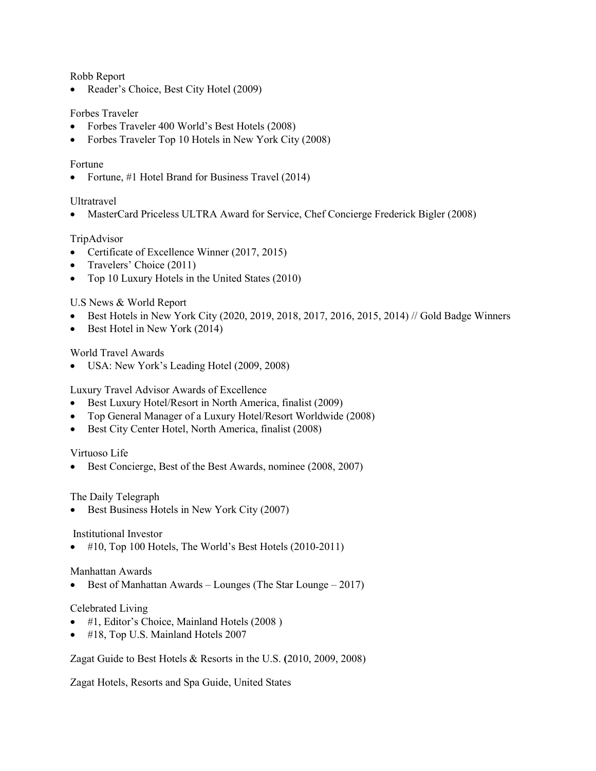Robb Report

• Reader's Choice, Best City Hotel (2009)

### Forbes Traveler

- Forbes Traveler 400 World's Best Hotels (2008)
- Forbes Traveler Top 10 Hotels in New York City (2008)

#### Fortune

• Fortune, #1 Hotel Brand for Business Travel (2014)

#### Ultratravel

• MasterCard Priceless ULTRA Award for Service, Chef Concierge Frederick Bigler (2008)

#### TripAdvisor

- Certificate of Excellence Winner (2017, 2015)
- Travelers' Choice (2011)
- Top 10 Luxury Hotels in the United States (2010)

#### U.S News & World Report

- Best Hotels in New York City (2020, 2019, 2018, 2017, 2016, 2015, 2014) // Gold Badge Winners
- Best Hotel in New York (2014)

#### World Travel Awards

• USA: New York's Leading Hotel (2009, 2008)

Luxury Travel Advisor Awards of Excellence

- Best Luxury Hotel/Resort in North America, finalist (2009)
- Top General Manager of a Luxury Hotel/Resort Worldwide (2008)
- Best City Center Hotel, North America, finalist (2008)

#### Virtuoso Life

• Best Concierge, Best of the Best Awards, nominee (2008, 2007)

#### The Daily Telegraph

• Best Business Hotels in New York City (2007)

#### Institutional Investor

 $\bullet$  #10, Top 100 Hotels, The World's Best Hotels (2010-2011)

#### Manhattan Awards

• Best of Manhattan Awards – Lounges (The Star Lounge – 2017)

#### Celebrated Living

- #1, Editor's Choice, Mainland Hotels (2008 )
- #18, Top U.S. Mainland Hotels 2007

Zagat Guide to Best Hotels & Resorts in the U.S. **(**2010, 2009, 2008)

Zagat Hotels, Resorts and Spa Guide, United States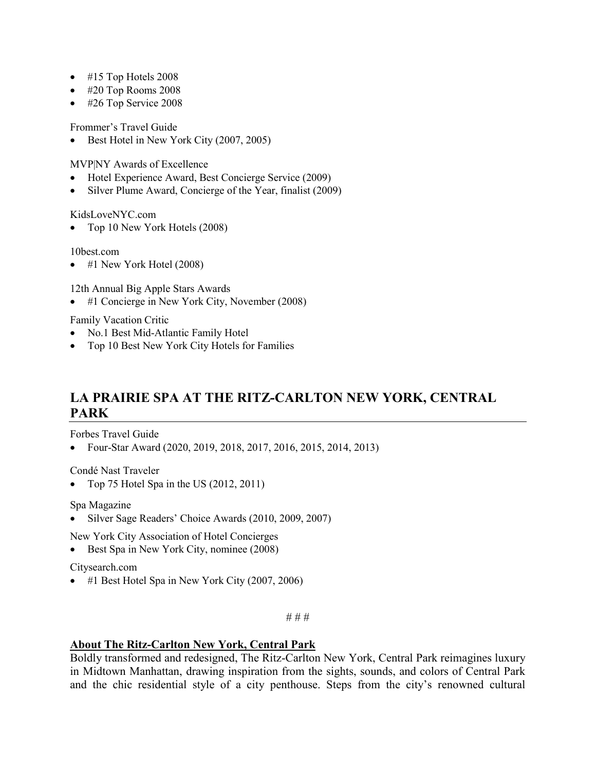- #15 Top Hotels 2008
- #20 Top Rooms 2008
- #26 Top Service 2008

Frommer's Travel Guide

• Best Hotel in New York City (2007, 2005)

MVP|NY Awards of Excellence

- Hotel Experience Award, Best Concierge Service (2009)
- Silver Plume Award, Concierge of the Year, finalist (2009)

[KidsLoveNYC.com](http://KidsLoveNYC.com)

• Top 10 New York Hotels (2008)

[10best.com](http://10best.com)

• #1 New York Hotel (2008)

12th Annual Big Apple Stars Awards

#1 Concierge in New York City, November (2008)

Family Vacation Critic

- No.1 Best Mid-Atlantic Family Hotel
- Top 10 Best New York City Hotels for Families

# **LA PRAIRIE SPA AT THE RITZ-CARLTON NEW YORK, CENTRAL PARK**

Forbes Travel Guide

• Four-Star Award (2020, 2019, 2018, 2017, 2016, 2015, 2014, 2013)

Condé Nast Traveler

• Top 75 Hotel Spa in the US (2012, 2011)

Spa Magazine

• Silver Sage Readers' Choice Awards (2010, 2009, 2007)

New York City Association of Hotel Concierges

• Best Spa in New York City, nominee (2008)

[Citysearch.com](http://Citysearch.com)

• #1 Best Hotel Spa in New York City (2007, 2006)

# # #

### **About The Ritz-Carlton New York, Central Park**

Boldly transformed and redesigned, The Ritz-Carlton New York, Central Park reimagines luxury in Midtown Manhattan, drawing inspiration from the sights, sounds, and colors of Central Park and the chic residential style of a city penthouse. Steps from the city's renowned cultural